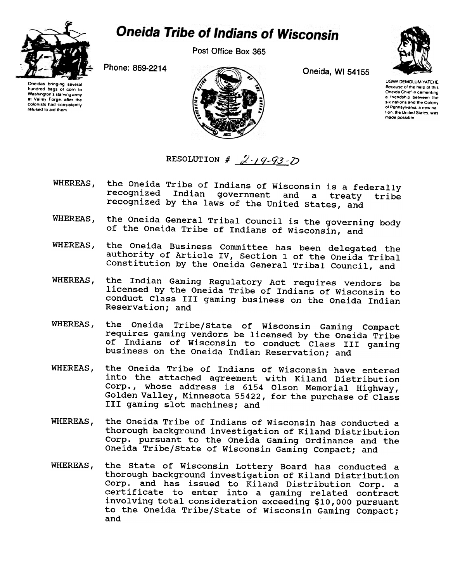

## **Oneida Tribe of Indians of Wisconsin**

Post Office Box 365



One,das bringing several hundred bags 01 corn to Washington's starving army at Valley Forge, after the colonists had consistently refused 10 aid them



UGWA DEMOLUM YATEHE Because of the help of this Oneida Chief in cementing a friendship between the six nations and the Colony 01 Pennsylvania. a new nation, the United States, was made possible.

RESOLUTION  $\#$  2-19-93-D

- the Oneida Tribe of Indians of Wisconsin is a federally WHEREAS, recognized Indian government and a treaty tribe recognized by the laws of the United states, and
- the Oneida General Tribal Council is the governing body WHEREAS, of the Oneida Tribe of Indians of Wisconsin, and
- the Oneida Business Committee has been delegated the WHEREAS, authority of Article IV, Section 1 of the Oneida Tribal Constitution by the Oneida General Tribal Council, and
- the Indian Gaming Regulatory Act requires vendors be WHEREAS, licensed by the Oneida Tribe of Indians of Wisconsin to conduct Class III gaming business on the Oneida Indian Reservation; and
- the Oneida Tribe/State of Wisconsin Gaming Compact WHEREAS, requires gaming vendors be licensed by the Oneida Tribe of Indians of Wisconsin to conduct Class III gaming business on the Oneida Indian Reservation; and
- WHEREAS. the Oneida Tribe of Indians of Wisconsin have entered into the attached agreement with Kiland Distribution whose address is 6154 Olson Memorial Highwa Golden Valley, Minnesota 55422, for the purchase of Clas III gaming slot machines; and
- WHEREAS, the Oneida Tribe of Indians of Wisconsin has conducted a thorough background investigation of Kiland Distribution Corp. pursuant to the Oneida Gaming Ordinance and the Oneida Tribe/State of Wisconsin Gaming Compact; and
- WHEREAS, the state of Wisconsin Lottery Board has conducted a thorough background investigation of Kiland Distribution Corp. and has issued to Kiland Distribution Corp. a certificate to enter into a gaming related contract involving total consideration exceeding \$10,000 pursuant to the Oneida Tribe/State of Wisconsin Gaming Compact; and